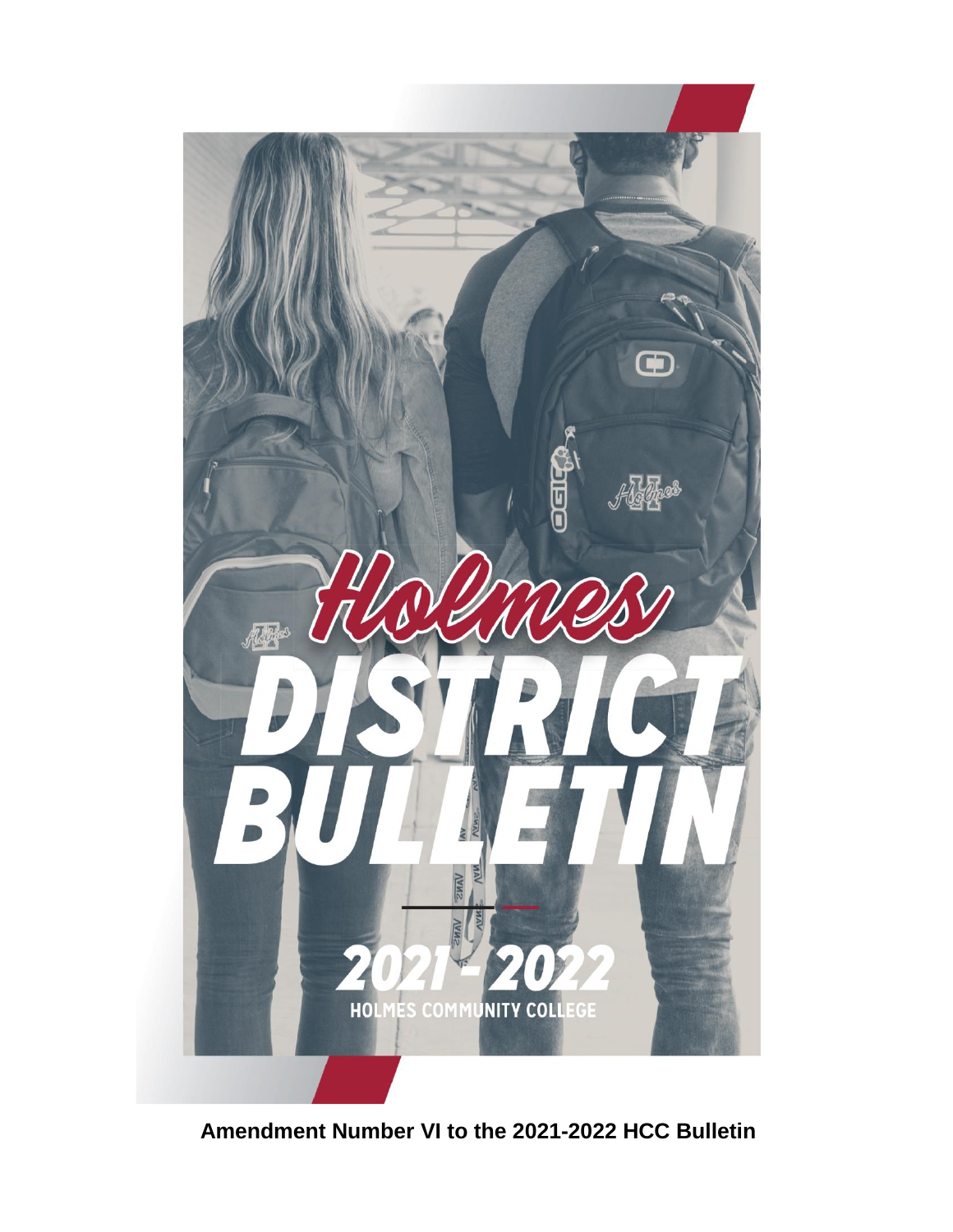

**Amendment Number VI to the 2021-2022 HCC Bulletin**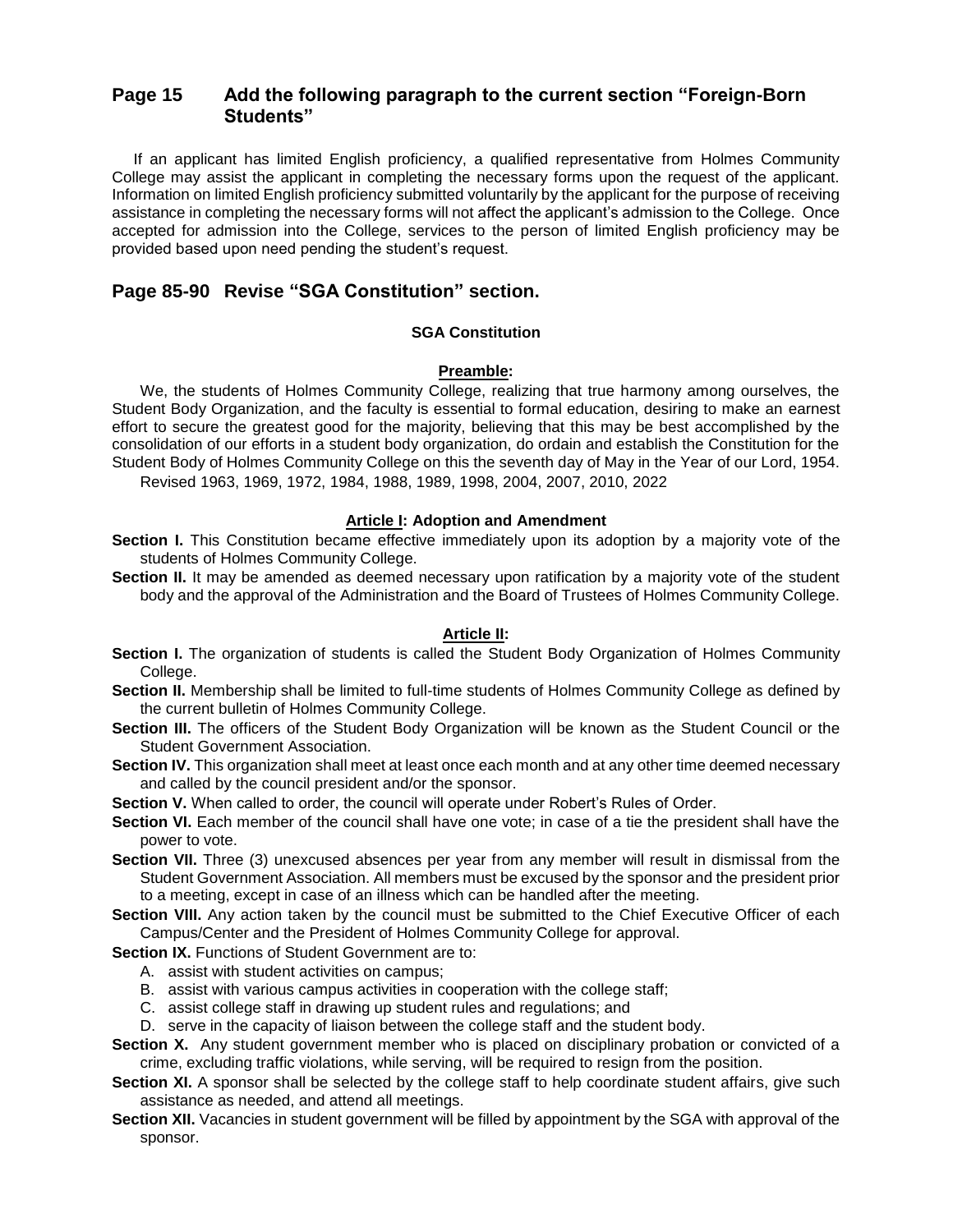# **Page 15 Add the following paragraph to the current section "Foreign-Born Students"**

 If an applicant has limited English proficiency, a qualified representative from Holmes Community College may assist the applicant in completing the necessary forms upon the request of the applicant. Information on limited English proficiency submitted voluntarily by the applicant for the purpose of receiving assistance in completing the necessary forms will not affect the applicant's admission to the College. Once accepted for admission into the College, services to the person of limited English proficiency may be provided based upon need pending the student's request.

# **Page 85-90 Revise "SGA Constitution" section.**

#### **SGA Constitution**

### **Preamble:**

We, the students of Holmes Community College, realizing that true harmony among ourselves, the Student Body Organization, and the faculty is essential to formal education, desiring to make an earnest effort to secure the greatest good for the majority, believing that this may be best accomplished by the consolidation of our efforts in a student body organization, do ordain and establish the Constitution for the Student Body of Holmes Community College on this the seventh day of May in the Year of our Lord, 1954. Revised 1963, 1969, 1972, 1984, 1988, 1989, 1998, 2004, 2007, 2010, 2022

#### **Article I: Adoption and Amendment**

- **Section I.** This Constitution became effective immediately upon its adoption by a majority vote of the students of Holmes Community College.
- **Section II.** It may be amended as deemed necessary upon ratification by a majority vote of the student body and the approval of the Administration and the Board of Trustees of Holmes Community College.

#### **Article II:**

- **Section I.** The organization of students is called the Student Body Organization of Holmes Community College.
- **Section II.** Membership shall be limited to full-time students of Holmes Community College as defined by the current bulletin of Holmes Community College.
- Section III. The officers of the Student Body Organization will be known as the Student Council or the Student Government Association.
- **Section IV.** This organization shall meet at least once each month and at any other time deemed necessary and called by the council president and/or the sponsor.

**Section V.** When called to order, the council will operate under Robert's Rules of Order.

- **Section VI.** Each member of the council shall have one vote; in case of a tie the president shall have the power to vote.
- **Section VII.** Three (3) unexcused absences per year from any member will result in dismissal from the Student Government Association. All members must be excused by the sponsor and the president prior to a meeting, except in case of an illness which can be handled after the meeting.
- **Section VIII.** Any action taken by the council must be submitted to the Chief Executive Officer of each Campus/Center and the President of Holmes Community College for approval.
- **Section IX.** Functions of Student Government are to:
	- A. assist with student activities on campus;
	- B. assist with various campus activities in cooperation with the college staff;
	- C. assist college staff in drawing up student rules and regulations; and
	- D. serve in the capacity of liaison between the college staff and the student body.
- **Section X.** Any student government member who is placed on disciplinary probation or convicted of a crime, excluding traffic violations, while serving, will be required to resign from the position.
- **Section XI.** A sponsor shall be selected by the college staff to help coordinate student affairs, give such assistance as needed, and attend all meetings.
- **Section XII.** Vacancies in student government will be filled by appointment by the SGA with approval of the sponsor.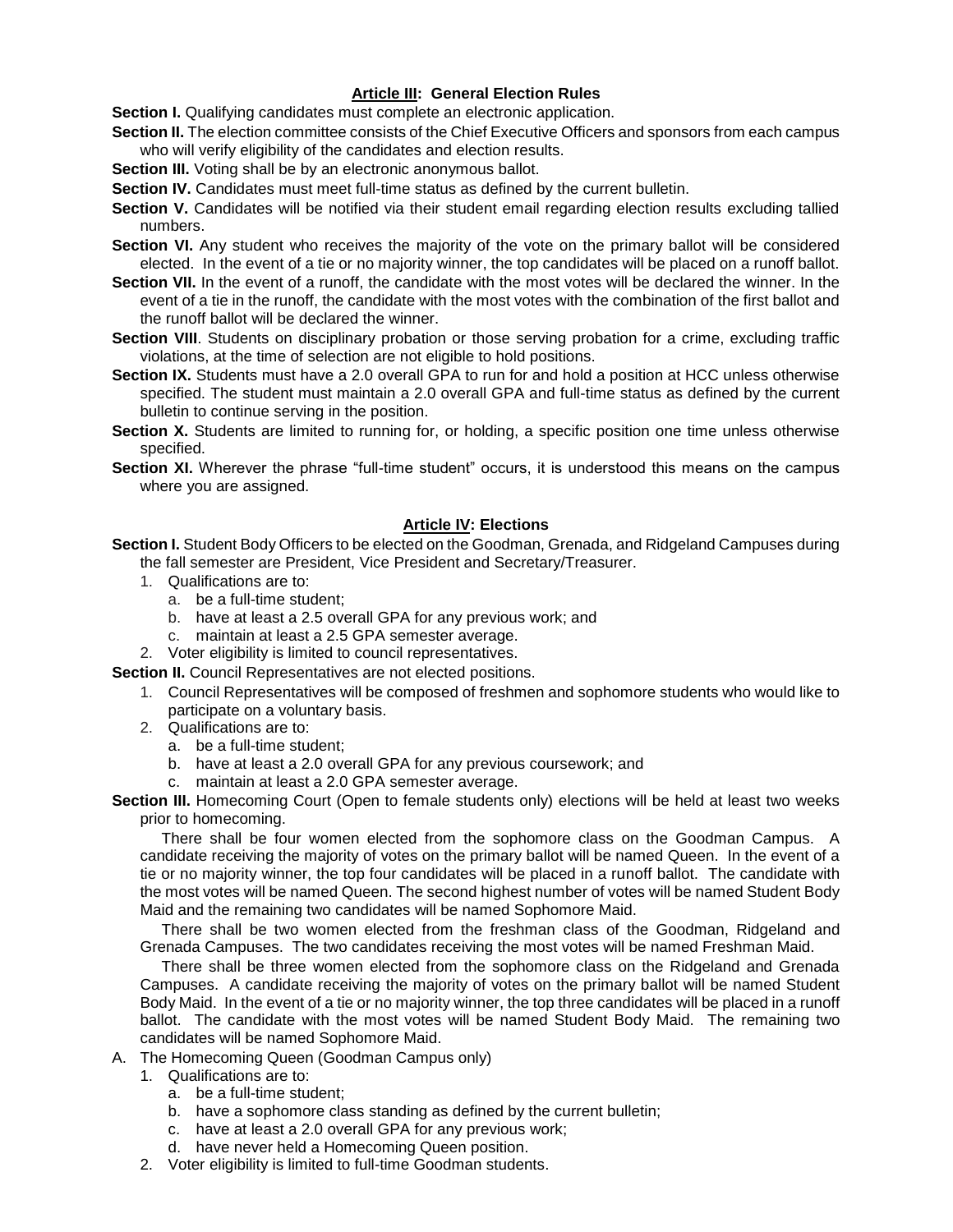## **Article III: General Election Rules**

**Section I.** Qualifying candidates must complete an electronic application.

- **Section II.** The election committee consists of the Chief Executive Officers and sponsors from each campus who will verify eligibility of the candidates and election results.
- **Section III.** Voting shall be by an electronic anonymous ballot.
- **Section IV.** Candidates must meet full-time status as defined by the current bulletin.
- **Section V.** Candidates will be notified via their student email regarding election results excluding tallied numbers.
- **Section VI.** Any student who receives the majority of the vote on the primary ballot will be considered elected. In the event of a tie or no majority winner, the top candidates will be placed on a runoff ballot.
- Section VII. In the event of a runoff, the candidate with the most votes will be declared the winner. In the event of a tie in the runoff, the candidate with the most votes with the combination of the first ballot and the runoff ballot will be declared the winner.
- **Section VIII**. Students on disciplinary probation or those serving probation for a crime, excluding traffic violations, at the time of selection are not eligible to hold positions.
- **Section IX.** Students must have a 2.0 overall GPA to run for and hold a position at HCC unless otherwise specified. The student must maintain a 2.0 overall GPA and full-time status as defined by the current bulletin to continue serving in the position.
- **Section X.** Students are limited to running for, or holding, a specific position one time unless otherwise specified.
- **Section XI.** Wherever the phrase "full-time student" occurs, it is understood this means on the campus where you are assigned.

### **Article IV: Elections**

**Section I.** Student Body Officers to be elected on the Goodman, Grenada, and Ridgeland Campuses during the fall semester are President, Vice President and Secretary/Treasurer.

- 1. Qualifications are to:
	- a. be a full-time student;
	- b. have at least a 2.5 overall GPA for any previous work; and
	- c. maintain at least a 2.5 GPA semester average.
- 2. Voter eligibility is limited to council representatives.

**Section II.** Council Representatives are not elected positions.

- 1. Council Representatives will be composed of freshmen and sophomore students who would like to participate on a voluntary basis.
- 2. Qualifications are to:
	- a. be a full-time student;
	- b. have at least a 2.0 overall GPA for any previous coursework; and
	- c. maintain at least a 2.0 GPA semester average.

**Section III.** Homecoming Court (Open to female students only) elections will be held at least two weeks prior to homecoming.

There shall be four women elected from the sophomore class on the Goodman Campus. A candidate receiving the majority of votes on the primary ballot will be named Queen. In the event of a tie or no majority winner, the top four candidates will be placed in a runoff ballot. The candidate with the most votes will be named Queen. The second highest number of votes will be named Student Body Maid and the remaining two candidates will be named Sophomore Maid.

 There shall be two women elected from the freshman class of the Goodman, Ridgeland and Grenada Campuses. The two candidates receiving the most votes will be named Freshman Maid.

 There shall be three women elected from the sophomore class on the Ridgeland and Grenada Campuses. A candidate receiving the majority of votes on the primary ballot will be named Student Body Maid. In the event of a tie or no majority winner, the top three candidates will be placed in a runoff ballot. The candidate with the most votes will be named Student Body Maid. The remaining two candidates will be named Sophomore Maid.

- A. The Homecoming Queen (Goodman Campus only)
	- 1. Qualifications are to:
		- a. be a full-time student;
		- b. have a sophomore class standing as defined by the current bulletin;
		- c. have at least a 2.0 overall GPA for any previous work;
			- d. have never held a Homecoming Queen position.
	- 2. Voter eligibility is limited to full-time Goodman students.